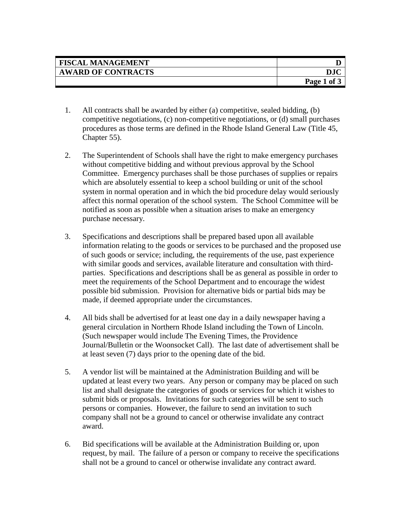| <b>FISCAL MANAGEMENT</b>  |             |
|---------------------------|-------------|
| <b>AWARD OF CONTRACTS</b> |             |
|                           | Page 1 of 3 |

- 1. All contracts shall be awarded by either (a) competitive, sealed bidding, (b) competitive negotiations, (c) non-competitive negotiations, or (d) small purchases procedures as those terms are defined in the Rhode Island General Law (Title 45, Chapter 55).
- 2. The Superintendent of Schools shall have the right to make emergency purchases without competitive bidding and without previous approval by the School Committee. Emergency purchases shall be those purchases of supplies or repairs which are absolutely essential to keep a school building or unit of the school system in normal operation and in which the bid procedure delay would seriously affect this normal operation of the school system. The School Committee will be notified as soon as possible when a situation arises to make an emergency purchase necessary.
- 3. Specifications and descriptions shall be prepared based upon all available information relating to the goods or services to be purchased and the proposed use of such goods or service; including, the requirements of the use, past experience with similar goods and services, available literature and consultation with thirdparties. Specifications and descriptions shall be as general as possible in order to meet the requirements of the School Department and to encourage the widest possible bid submission. Provision for alternative bids or partial bids may be made, if deemed appropriate under the circumstances.
- 4. All bids shall be advertised for at least one day in a daily newspaper having a general circulation in Northern Rhode Island including the Town of Lincoln. (Such newspaper would include The Evening Times, the Providence Journal/Bulletin or the Woonsocket Call). The last date of advertisement shall be at least seven (7) days prior to the opening date of the bid.
- 5. A vendor list will be maintained at the Administration Building and will be updated at least every two years. Any person or company may be placed on such list and shall designate the categories of goods or services for which it wishes to submit bids or proposals. Invitations for such categories will be sent to such persons or companies. However, the failure to send an invitation to such company shall not be a ground to cancel or otherwise invalidate any contract award.
- 6. Bid specifications will be available at the Administration Building or, upon request, by mail. The failure of a person or company to receive the specifications shall not be a ground to cancel or otherwise invalidate any contract award.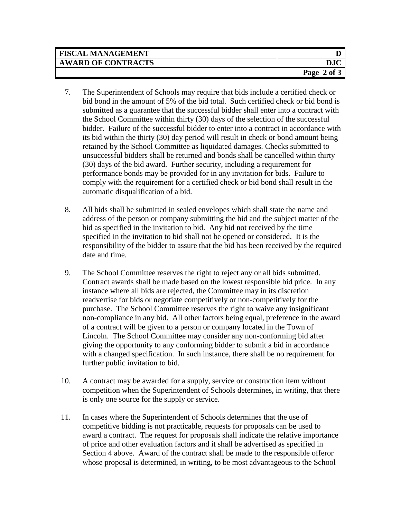| <b>FISCAL MANAGEMENT</b>  |                    |
|---------------------------|--------------------|
| <b>AWARD OF CONTRACTS</b> |                    |
|                           | Page<br>$2$ of $3$ |

- 7. The Superintendent of Schools may require that bids include a certified check or bid bond in the amount of 5% of the bid total. Such certified check or bid bond is submitted as a guarantee that the successful bidder shall enter into a contract with the School Committee within thirty (30) days of the selection of the successful bidder. Failure of the successful bidder to enter into a contract in accordance with its bid within the thirty (30) day period will result in check or bond amount being retained by the School Committee as liquidated damages. Checks submitted to unsuccessful bidders shall be returned and bonds shall be cancelled within thirty (30) days of the bid award. Further security, including a requirement for performance bonds may be provided for in any invitation for bids. Failure to comply with the requirement for a certified check or bid bond shall result in the automatic disqualification of a bid.
- 8. All bids shall be submitted in sealed envelopes which shall state the name and address of the person or company submitting the bid and the subject matter of the bid as specified in the invitation to bid. Any bid not received by the time specified in the invitation to bid shall not be opened or considered. It is the responsibility of the bidder to assure that the bid has been received by the required date and time.
- 9. The School Committee reserves the right to reject any or all bids submitted. Contract awards shall be made based on the lowest responsible bid price. In any instance where all bids are rejected, the Committee may in its discretion readvertise for bids or negotiate competitively or non-competitively for the purchase. The School Committee reserves the right to waive any insignificant non-compliance in any bid. All other factors being equal, preference in the award of a contract will be given to a person or company located in the Town of Lincoln. The School Committee may consider any non-conforming bid after giving the opportunity to any conforming bidder to submit a bid in accordance with a changed specification. In such instance, there shall be no requirement for further public invitation to bid.
- 10. A contract may be awarded for a supply, service or construction item without competition when the Superintendent of Schools determines, in writing, that there is only one source for the supply or service.
- 11. In cases where the Superintendent of Schools determines that the use of competitive bidding is not practicable, requests for proposals can be used to award a contract. The request for proposals shall indicate the relative importance of price and other evaluation factors and it shall be advertised as specified in Section 4 above. Award of the contract shall be made to the responsible offeror whose proposal is determined, in writing, to be most advantageous to the School